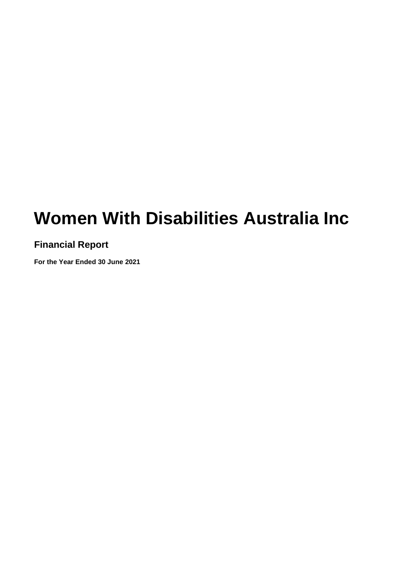### **Financial Report**

**For the Year Ended 30 June 2021**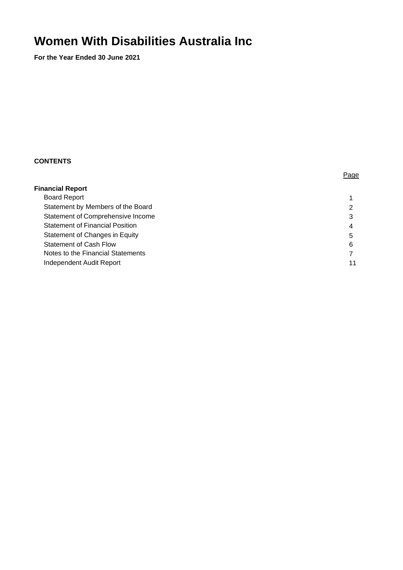**For the Year Ended 30 June 2021**

### **CONTENTS**

| <b>Financial Report</b>                |   |
|----------------------------------------|---|
| <b>Board Report</b>                    |   |
| Statement by Members of the Board      | 2 |
| Statement of Comprehensive Income      | 3 |
| <b>Statement of Financial Position</b> | 4 |
| Statement of Changes in Equity         | 5 |
| <b>Statement of Cash Flow</b>          | 6 |
| Notes to the Financial Statements      |   |
| Independent Audit Report               |   |

Page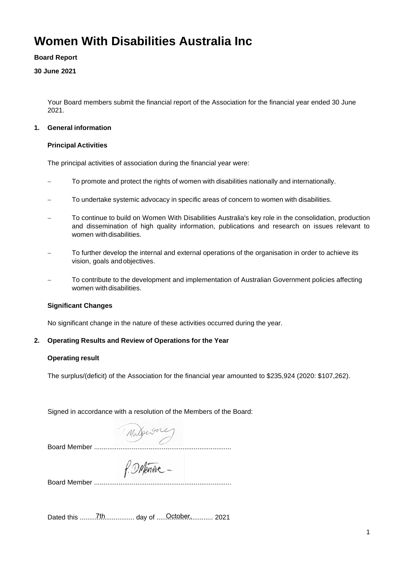#### **Board Report**

#### **30 June 2021**

Your Board members submit the financial report of the Association for the financial year ended 30 June 2021.

#### **1. General information**

#### **Principal Activities**

The principal activities of association during the financial year were:

- To promote and protect the rights of women with disabilities nationally and internationally.
- To undertake systemic advocacy in specific areas of concern to women with disabilities.
- To continue to build on Women With Disabilities Australia's key role in the consolidation, production and dissemination of high quality information, publications and research on issues relevant to women with disabilities.
- To further develop the internal and external operations of the organisation in order to achieve its vision, goals and objectives.
- To contribute to the development and implementation of Australian Government policies affecting women with disabilities.

#### **Significant Changes**

No significant change in the nature of these activities occurred during the year.

#### **2. Operating Results and Review of Operations for the Year**

#### **Operating result**

The surplus/(deficit) of the Association for the financial year amounted to \$235,924 (2020: \$107,262).

Signed in accordance with a resolution of the Members of the Board:

Malgione

Board Member ..........................

P. DAENER -

Board Member .........................................................................

Dated this ............................. day of .............................. 7th October, 2021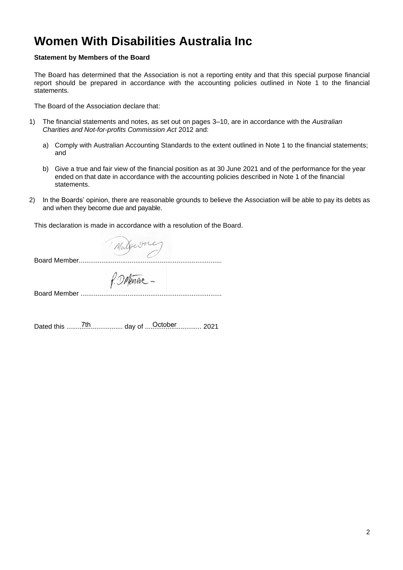#### <span id="page-3-0"></span>**Statement by Members of the Board**

The Board has determined that the Association is not a reporting entity and that this special purpose financial report should be prepared in accordance with the accounting policies outlined in Note 1 to the financial statements.

The Board of the Association declare that:

- 1) The financial statements and notes, as set out on pages 3–10, are in accordance with the *Australian Charities and Not-for-profits Commission Act* 2012 and:
	- a) Comply with Australian Accounting Standards to the extent outlined in Note 1 to the financial statements; and
	- b) Give a true and fair view of the financial position as at 30 June 2021 and of the performance for the year ended on that date in accordance with the accounting policies described in Note 1 of the financial statements.
- 2) In the Boards' opinion, there are reasonable grounds to believe the Association will be able to pay its debts as and when they become due and payable.

This declaration is made in accordance with a resolution of the Board.

Board Member............................................................................

P. DAknae-

Board Member ...........................................................................

Dated this .............................. day of ............................. 7th October . 2021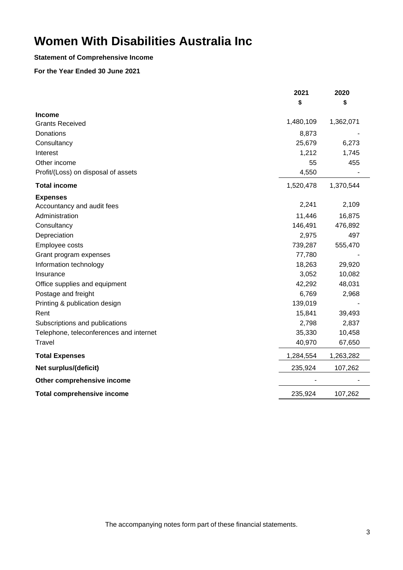### **Statement of Comprehensive Income**

### **For the Year Ended 30 June 2021**

|                                         | 2021      | 2020      |
|-----------------------------------------|-----------|-----------|
|                                         | \$        | S         |
| <b>Income</b>                           |           |           |
| <b>Grants Received</b>                  | 1,480,109 | 1,362,071 |
| Donations                               | 8,873     |           |
| Consultancy                             | 25,679    | 6,273     |
| Interest                                | 1,212     | 1,745     |
| Other income                            | 55        | 455       |
| Profit/(Loss) on disposal of assets     | 4,550     |           |
| <b>Total income</b>                     | 1,520,478 | 1,370,544 |
| <b>Expenses</b>                         |           |           |
| Accountancy and audit fees              | 2,241     | 2,109     |
| Administration                          | 11,446    | 16,875    |
| Consultancy                             | 146,491   | 476,892   |
| Depreciation                            | 2,975     | 497       |
| Employee costs                          | 739,287   | 555,470   |
| Grant program expenses                  | 77,780    |           |
| Information technology                  | 18,263    | 29,920    |
| Insurance                               | 3,052     | 10,082    |
| Office supplies and equipment           | 42,292    | 48,031    |
| Postage and freight                     | 6,769     | 2,968     |
| Printing & publication design           | 139,019   |           |
| Rent                                    | 15,841    | 39,493    |
| Subscriptions and publications          | 2,798     | 2,837     |
| Telephone, teleconferences and internet | 35,330    | 10,458    |
| Travel                                  | 40,970    | 67,650    |
| <b>Total Expenses</b>                   | 1,284,554 | 1,263,282 |
| Net surplus/(deficit)                   | 235,924   | 107,262   |
| Other comprehensive income              |           |           |
| <b>Total comprehensive income</b>       | 235,924   | 107,262   |

The accompanying notes form part of these financial statements.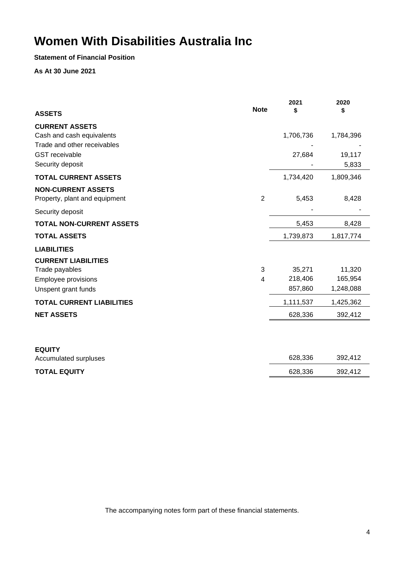### **Statement of Financial Position**

**As At 30 June 2021**

|                                                                                                   |                | 2021                         | 2020                           |
|---------------------------------------------------------------------------------------------------|----------------|------------------------------|--------------------------------|
| <b>ASSETS</b>                                                                                     | <b>Note</b>    | \$                           | \$                             |
| <b>CURRENT ASSETS</b><br>Cash and cash equivalents                                                |                | 1,706,736                    | 1,784,396                      |
| Trade and other receivables<br><b>GST</b> receivable<br>Security deposit                          |                | 27,684                       | 19,117<br>5,833                |
| <b>TOTAL CURRENT ASSETS</b>                                                                       |                | 1,734,420                    | 1,809,346                      |
| <b>NON-CURRENT ASSETS</b><br>Property, plant and equipment                                        | $\overline{2}$ | 5,453                        | 8,428                          |
| Security deposit                                                                                  |                |                              |                                |
| <b>TOTAL NON-CURRENT ASSETS</b>                                                                   |                | 5,453                        | 8,428                          |
| <b>TOTAL ASSETS</b>                                                                               |                | 1,739,873                    | 1,817,774                      |
| <b>LIABILITIES</b>                                                                                |                |                              |                                |
| <b>CURRENT LIABILITIES</b><br>Trade payables<br><b>Employee provisions</b><br>Unspent grant funds | 3<br>4         | 35,271<br>218,406<br>857,860 | 11,320<br>165,954<br>1,248,088 |
| <b>TOTAL CURRENT LIABILITIES</b>                                                                  |                | 1,111,537                    | 1,425,362                      |
| <b>NET ASSETS</b>                                                                                 |                | 628,336                      | 392,412                        |
|                                                                                                   |                |                              |                                |
| <b>EQUITY</b>                                                                                     |                |                              |                                |
| Accumulated surpluses                                                                             |                | 628,336                      | 392,412                        |
| <b>TOTAL EQUITY</b>                                                                               |                | 628,336                      | 392,412                        |

The accompanying notes form part of these financial statements.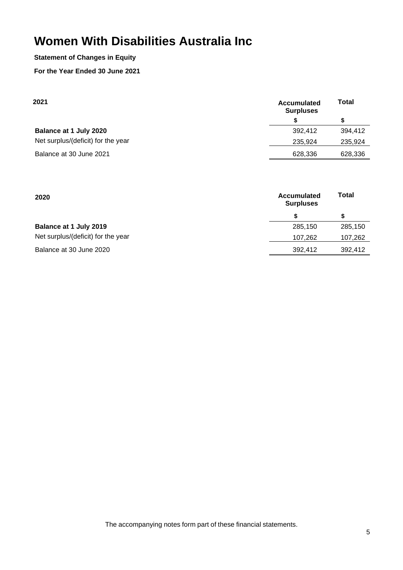### **Statement of Changes in Equity**

### **For the Year Ended 30 June 2021**

| 2021                               | <b>Accumulated</b><br><b>Surpluses</b> | Total   |
|------------------------------------|----------------------------------------|---------|
|                                    |                                        |         |
| <b>Balance at 1 July 2020</b>      | 392.412                                | 394.412 |
| Net surplus/(deficit) for the year | 235,924                                | 235,924 |
| Balance at 30 June 2021            | 628,336                                | 628,336 |

| 2020                               | <b>Accumulated</b><br><b>Surpluses</b> | Total   |
|------------------------------------|----------------------------------------|---------|
|                                    | S                                      |         |
| Balance at 1 July 2019             | 285,150                                | 285,150 |
| Net surplus/(deficit) for the year | 107,262                                | 107,262 |
| Balance at 30 June 2020            | 392,412                                | 392.412 |

The accompanying notes form part of these financial statements.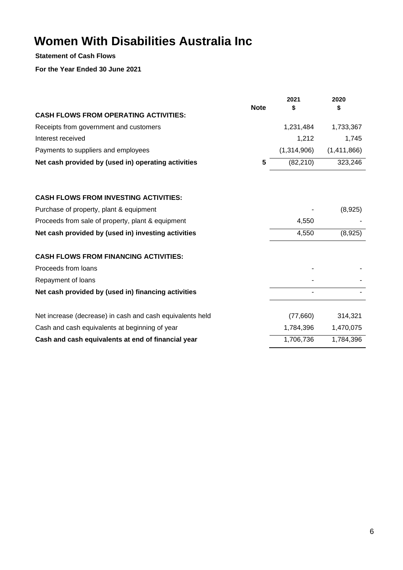### **Statement of Cash Flows**

**For the Year Ended 30 June 2021**

|                                                           |             | 2021        | 2020        |
|-----------------------------------------------------------|-------------|-------------|-------------|
| <b>CASH FLOWS FROM OPERATING ACTIVITIES:</b>              | <b>Note</b> | \$          | \$          |
| Receipts from government and customers                    |             | 1,231,484   | 1,733,367   |
| Interest received                                         |             | 1,212       | 1,745       |
| Payments to suppliers and employees                       |             | (1,314,906) | (1,411,866) |
| Net cash provided by (used in) operating activities       | 5           | (82, 210)   | 323,246     |
| <b>CASH FLOWS FROM INVESTING ACTIVITIES:</b>              |             |             |             |
| Purchase of property, plant & equipment                   |             |             | (8,925)     |
| Proceeds from sale of property, plant & equipment         |             | 4,550       |             |
| Net cash provided by (used in) investing activities       |             | 4,550       | (8,925)     |
| <b>CASH FLOWS FROM FINANCING ACTIVITIES:</b>              |             |             |             |
| Proceeds from loans                                       |             |             |             |
| Repayment of loans                                        |             |             |             |
| Net cash provided by (used in) financing activities       |             |             |             |
|                                                           |             |             |             |
| Net increase (decrease) in cash and cash equivalents held |             | (77,660)    | 314,321     |
| Cash and cash equivalents at beginning of year            |             | 1,784,396   | 1,470,075   |
| Cash and cash equivalents at end of financial year        |             | 1,706,736   | 1,784,396   |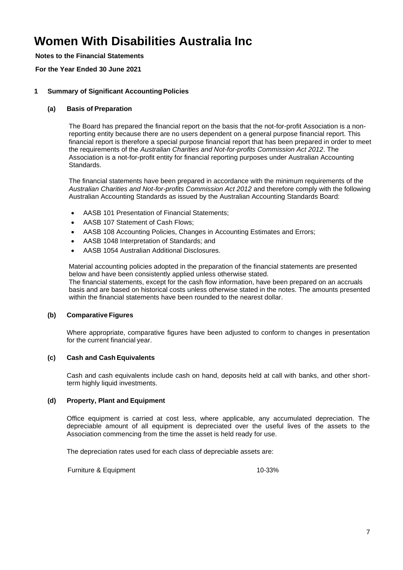#### **Notes to the Financial Statements**

**For the Year Ended 30 June 2021**

#### **1 Summary of Significant AccountingPolicies**

#### **(a) Basis of Preparation**

The Board has prepared the financial report on the basis that the not-for-profit Association is a nonreporting entity because there are no users dependent on a general purpose financial report. This financial report is therefore a special purpose financial report that has been prepared in order to meet the requirements of the *Australian Charities and Not-for-profits Commission Act 2012*. The Association is a not-for-profit entity for financial reporting purposes under Australian Accounting Standards.

The financial statements have been prepared in accordance with the minimum requirements of the *Australian Charities and Not-for-profits Commission Act 2012* and therefore comply with the following Australian Accounting Standards as issued by the Australian Accounting Standards Board:

- AASB 101 Presentation of Financial Statements;
- AASB 107 Statement of Cash Flows;
- AASB 108 Accounting Policies, Changes in Accounting Estimates and Errors;
- AASB 1048 Interpretation of Standards; and
- AASB 1054 Australian Additional Disclosures.

Material accounting policies adopted in the preparation of the financial statements are presented below and have been consistently applied unless otherwise stated. The financial statements, except for the cash flow information, have been prepared on an accruals basis and are based on historical costs unless otherwise stated in the notes. The amounts presented within the financial statements have been rounded to the nearest dollar.

#### **(b) Comparative Figures**

Where appropriate, comparative figures have been adjusted to conform to changes in presentation for the current financial year.

#### **(c) Cash and Cash Equivalents**

Cash and cash equivalents include cash on hand, deposits held at call with banks, and other shortterm highly liquid investments.

#### **(d) Property, Plant and Equipment**

Office equipment is carried at cost less, where applicable, any accumulated depreciation. The depreciable amount of all equipment is depreciated over the useful lives of the assets to the Association commencing from the time the asset is held ready for use.

The depreciation rates used for each class of depreciable assets are:

Furniture & Equipment 10-33%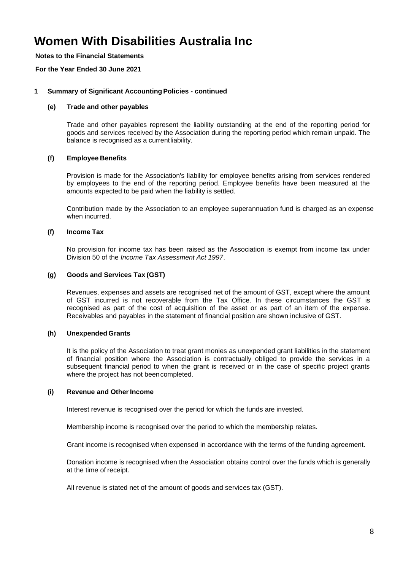#### **Notes to the Financial Statements**

**For the Year Ended 30 June 2021**

#### **1 Summary of Significant AccountingPolicies - continued**

#### **(e) Trade and other payables**

Trade and other payables represent the liability outstanding at the end of the reporting period for goods and services received by the Association during the reporting period which remain unpaid. The balance is recognised as a currentliability.

#### **(f) Employee Benefits**

Provision is made for the Association's liability for employee benefits arising from services rendered by employees to the end of the reporting period. Employee benefits have been measured at the amounts expected to be paid when the liability is settled.

Contribution made by the Association to an employee superannuation fund is charged as an expense when incurred.

#### **(f) Income Tax**

No provision for income tax has been raised as the Association is exempt from income tax under Division 50 of the *Income Tax Assessment Act 1997*.

#### **(g) Goods and Services Tax (GST)**

Revenues, expenses and assets are recognised net of the amount of GST, except where the amount of GST incurred is not recoverable from the Tax Office. In these circumstances the GST is recognised as part of the cost of acquisition of the asset or as part of an item of the expense. Receivables and payables in the statement of financial position are shown inclusive of GST.

#### **(h) Unexpended Grants**

It is the policy of the Association to treat grant monies as unexpended grant liabilities in the statement of financial position where the Association is contractually obliged to provide the services in a subsequent financial period to when the grant is received or in the case of specific project grants where the project has not beencompleted.

#### **(i)** Revenue and Other Income

Interest revenue is recognised over the period for which the funds are invested.

Membership income is recognised over the period to which the membership relates.

Grant income is recognised when expensed in accordance with the terms of the funding agreement.

Donation income is recognised when the Association obtains control over the funds which is generally at the time of receipt.

All revenue is stated net of the amount of goods and services tax (GST).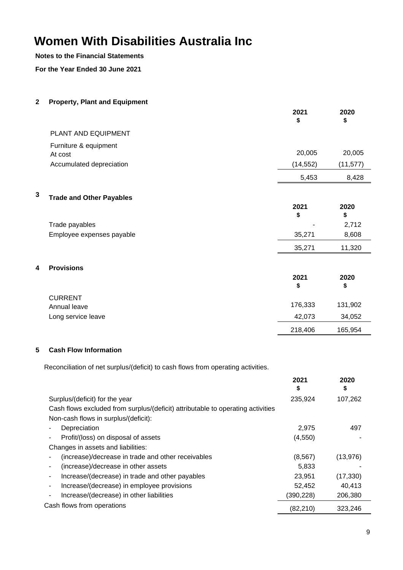### **Notes to the Financial Statements**

**For the Year Ended 30 June 2021**

**2 Property, Plant and Equipment**

|   |                                  | 2021<br>\$ | 2020<br>\$ |
|---|----------------------------------|------------|------------|
|   | PLANT AND EQUIPMENT              |            |            |
|   | Furniture & equipment<br>At cost | 20,005     | 20,005     |
|   | Accumulated depreciation         | (14, 552)  | (11, 577)  |
|   |                                  | 5,453      | 8,428      |
| 3 | <b>Trade and Other Payables</b>  |            |            |
|   |                                  | 2021<br>\$ | 2020<br>\$ |
|   | Trade payables                   |            | 2,712      |
|   | Employee expenses payable        | 35,271     | 8,608      |
|   |                                  | 35,271     | 11,320     |
| 4 | <b>Provisions</b>                |            |            |
|   |                                  | 2021       | 2020       |
|   |                                  | \$         | \$         |
|   | <b>CURRENT</b>                   |            |            |
|   | Annual leave                     | 176,333    | 131,902    |
|   | Long service leave               | 42,073     | 34,052     |
|   |                                  | 218,406    | 165,954    |

### **5 Cash Flow Information**

Reconciliation of net surplus/(deficit) to cash flows from operating activities.

|                                                                                 | 2021<br>\$ | 2020<br>\$ |
|---------------------------------------------------------------------------------|------------|------------|
| Surplus/(deficit) for the year                                                  | 235,924    | 107,262    |
| Cash flows excluded from surplus/(deficit) attributable to operating activities |            |            |
| Non-cash flows in surplus/(deficit):                                            |            |            |
| Depreciation                                                                    | 2.975      | 497        |
| Profit/(loss) on disposal of assets                                             | (4,550)    |            |
| Changes in assets and liabilities:                                              |            |            |
| (increase)/decrease in trade and other receivables                              | (8, 567)   | (13, 976)  |
| (increase)/decrease in other assets                                             | 5,833      |            |
| Increase/(decrease) in trade and other payables                                 | 23,951     | (17, 330)  |
| Increase/(decrease) in employee provisions                                      | 52,452     | 40.413     |
| Increase/(decrease) in other liabilities                                        | (390,228)  | 206,380    |
| Cash flows from operations                                                      | (82, 210)  | 323,246    |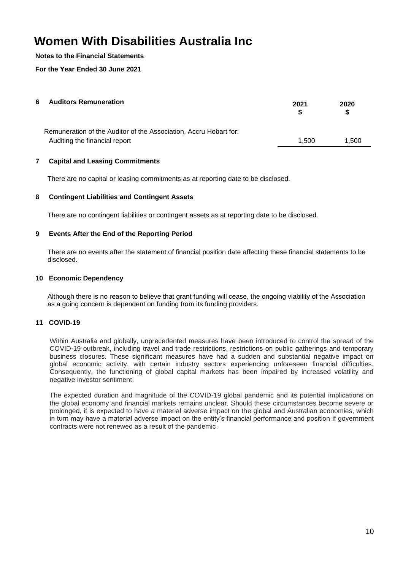#### **Notes to the Financial Statements**

**For the Year Ended 30 June 2021**

| <b>Auditors Remuneration</b><br>6                                                                  | 2021  | 2020  |
|----------------------------------------------------------------------------------------------------|-------|-------|
| Remuneration of the Auditor of the Association, Accru Hobart for:<br>Auditing the financial report | 1.500 | 1.500 |

#### **7 Capital and Leasing Commitments**

There are no capital or leasing commitments as at reporting date to be disclosed.

#### **8 Contingent Liabilities and Contingent Assets**

There are no contingent liabilities or contingent assets as at reporting date to be disclosed.

#### **9 Events After the End of the Reporting Period**

There are no events after the statement of financial position date affecting these financial statements to be disclosed.

#### **10 Economic Dependency**

Although there is no reason to believe that grant funding will cease, the ongoing viability of the Association as a going concern is dependent on funding from its funding providers.

### **11 COVID-19**

Within Australia and globally, unprecedented measures have been introduced to control the spread of the COVID-19 outbreak, including travel and trade restrictions, restrictions on public gatherings and temporary business closures. These significant measures have had a sudden and substantial negative impact on global economic activity, with certain industry sectors experiencing unforeseen financial difficulties. Consequently, the functioning of global capital markets has been impaired by increased volatility and negative investor sentiment.

The expected duration and magnitude of the COVID-19 global pandemic and its potential implications on the global economy and financial markets remains unclear. Should these circumstances become severe or prolonged, it is expected to have a material adverse impact on the global and Australian economies, which in turn may have a material adverse impact on the entity's financial performance and position if government contracts were not renewed as a result of the pandemic.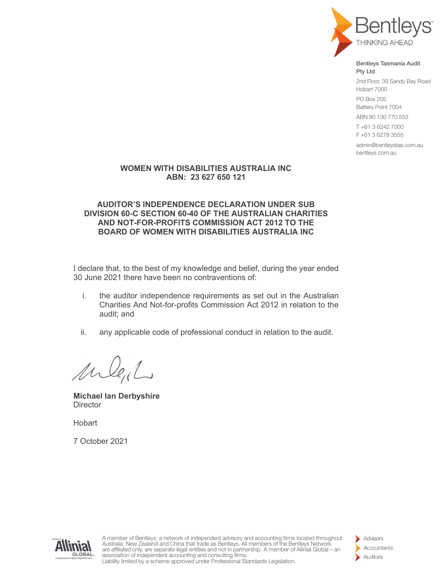

**Bentleys Tasmania Audit Pty Ltd**

2nd Floor, 39 Sandy Bay Road Hobart 7000

PO Box 205 Battery Point 7004

ABN 80 130 770 553

T +61 3 6242 7000 F +61 3 6278 3555

admin@bentleystas.com.au bentleys.com.au

#### **WOMEN WITH DISABILITIES AUSTRALIA INC ABN: 23 627 650 121**

### **AUDITOR'S INDEPENDENCE DECLARATION UNDER SUB DIVISION 60-C SECTION 60-40 OF THE AUSTRALIAN CHARITIES AND NOT-FOR-PROFITS COMMISSION ACT 2012 TO THE BOARD OF WOMEN WITH DISABILITIES AUSTRALIA INC**

I declare that, to the best of my knowledge and belief, during the year ended 30 June 2021 there have been no contraventions of:

- i. the auditor independence requirements as set out in the Australian Charities And Not-for-profits Commission Act 2012 in relation to the audit; and
- ii. any applicable code of professional conduct in relation to the audit.

**Michael Ian Derbyshire Director** 

**Hobart** 

7 October 2021



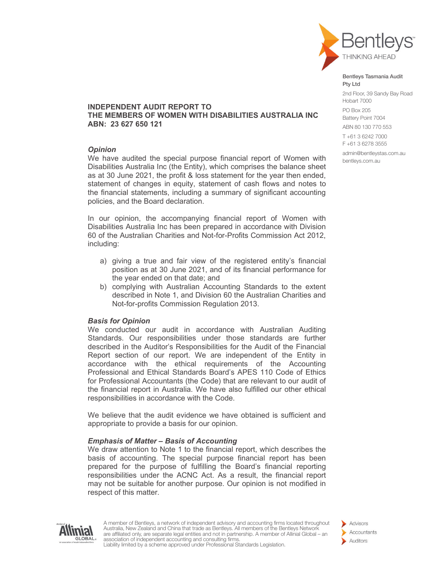

#### **Bentleys Tasmania Audit Pty Ltd**

2nd Floor, 39 Sandy Bay Road Hobart 7000 PO Box 205 Battery Point 7004 ABN 80 130 770 553 T +61 3 6242 7000 F +61 3 6278 3555

admin@bentleystas.com.au bentleys.com.au

#### **INDEPENDENT AUDIT REPORT TO THE MEMBERS OF WOMEN WITH DISABILITIES AUSTRALIA INC ABN: 23 627 650 121**

#### *Opinion*

We have audited the special purpose financial report of Women with Disabilities Australia Inc (the Entity), which comprises the balance sheet as at 30 June 2021, the profit & loss statement for the year then ended, statement of changes in equity, statement of cash flows and notes to the financial statements, including a summary of significant accounting policies, and the Board declaration.

In our opinion, the accompanying financial report of Women with Disabilities Australia Inc has been prepared in accordance with Division 60 of the Australian Charities and Not-for-Profits Commission Act 2012, including:

- a) giving a true and fair view of the registered entity's financial position as at 30 June 2021, and of its financial performance for the year ended on that date; and
- b) complying with Australian Accounting Standards to the extent described in Note 1, and Division 60 the Australian Charities and Not-for-profits Commission Regulation 2013.

#### *Basis for Opinion*

We conducted our audit in accordance with Australian Auditing Standards. Our responsibilities under those standards are further described in the Auditor's Responsibilities for the Audit of the Financial Report section of our report. We are independent of the Entity in accordance with the ethical requirements of the Accounting Professional and Ethical Standards Board's APES 110 Code of Ethics for Professional Accountants (the Code) that are relevant to our audit of the financial report in Australia. We have also fulfilled our other ethical responsibilities in accordance with the Code.

We believe that the audit evidence we have obtained is sufficient and appropriate to provide a basis for our opinion.

#### *Emphasis of Matter – Basis of Accounting*

We draw attention to Note 1 to the financial report, which describes the basis of accounting. The special purpose financial report has been prepared for the purpose of fulfilling the Board's financial reporting responsibilities under the ACNC Act. As a result, the financial report may not be suitable for another purpose. Our opinion is not modified in respect of this matter.



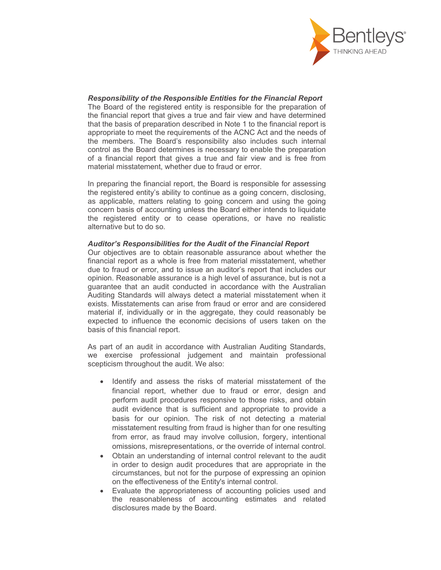

#### *Responsibility of the Responsible Entities for the Financial Report*

The Board of the registered entity is responsible for the preparation of the financial report that gives a true and fair view and have determined that the basis of preparation described in Note 1 to the financial report is appropriate to meet the requirements of the ACNC Act and the needs of the members. The Board's responsibility also includes such internal control as the Board determines is necessary to enable the preparation of a financial report that gives a true and fair view and is free from material misstatement, whether due to fraud or error.

In preparing the financial report, the Board is responsible for assessing the registered entity's ability to continue as a going concern, disclosing, as applicable, matters relating to going concern and using the going concern basis of accounting unless the Board either intends to liquidate the registered entity or to cease operations, or have no realistic alternative but to do so.

#### *Auditor's Responsibilities for the Audit of the Financial Report*

Our objectives are to obtain reasonable assurance about whether the financial report as a whole is free from material misstatement, whether due to fraud or error, and to issue an auditor's report that includes our opinion. Reasonable assurance is a high level of assurance, but is not a guarantee that an audit conducted in accordance with the Australian Auditing Standards will always detect a material misstatement when it exists. Misstatements can arise from fraud or error and are considered material if, individually or in the aggregate, they could reasonably be expected to influence the economic decisions of users taken on the basis of this financial report.

As part of an audit in accordance with Australian Auditing Standards, we exercise professional judgement and maintain professional scepticism throughout the audit. We also:

- Identify and assess the risks of material misstatement of the financial report, whether due to fraud or error, design and perform audit procedures responsive to those risks, and obtain audit evidence that is sufficient and appropriate to provide a basis for our opinion. The risk of not detecting a material misstatement resulting from fraud is higher than for one resulting from error, as fraud may involve collusion, forgery, intentional omissions, misrepresentations, or the override of internal control.
- Obtain an understanding of internal control relevant to the audit in order to design audit procedures that are appropriate in the circumstances, but not for the purpose of expressing an opinion on the effectiveness of the Entity's internal control.
- Evaluate the appropriateness of accounting policies used and the reasonableness of accounting estimates and related disclosures made by the Board.